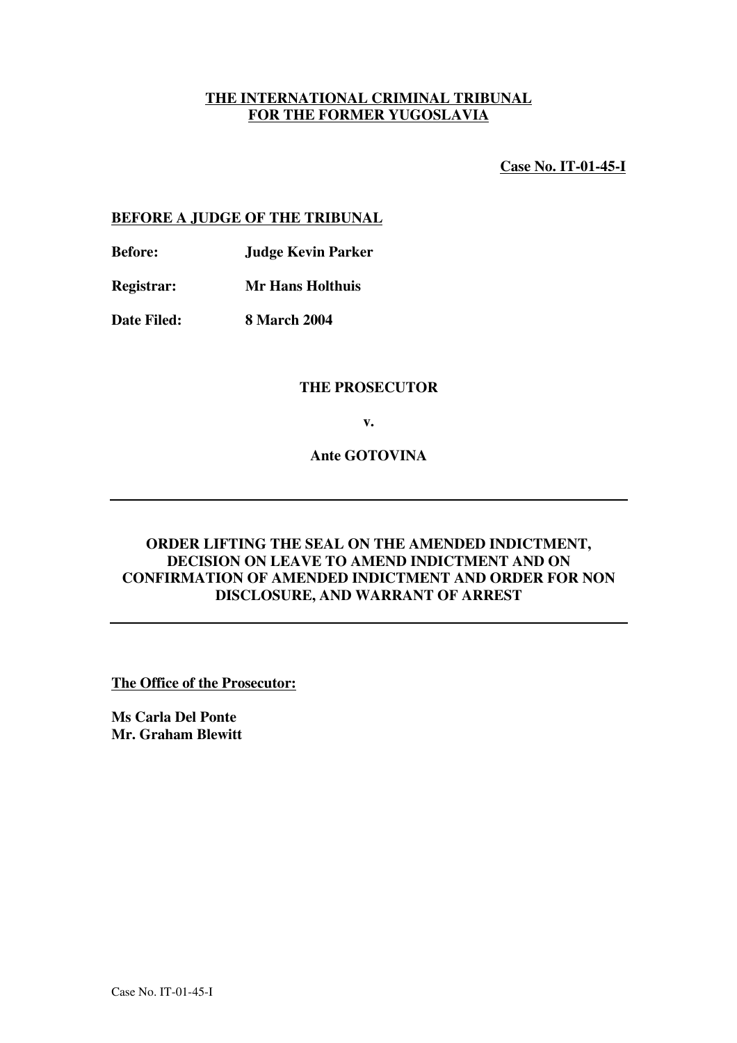# **THE INTERNATIONAL CRIMINAL TRIBUNAL FOR THE FORMER YUGOSLAVIA**

**Case No. IT-01-45-I**

### **BEFORE A JUDGE OF THE TRIBUNAL**

**Before: Judge Kevin Parker**

**Registrar: Mr Hans Holthuis**

**Date Filed: 8 March 2004**

#### **THE PROSECUTOR**

**v.**

**Ante GOTOVINA**

# **ORDER LIFTING THE SEAL ON THE AMENDED INDICTMENT, DECISION ON LEAVE TO AMEND INDICTMENT AND ON CONFIRMATION OF AMENDED INDICTMENT AND ORDER FOR NON DISCLOSURE, AND WARRANT OF ARREST**

**The Office of the Prosecutor:**

**Ms Carla Del Ponte Mr. Graham Blewitt**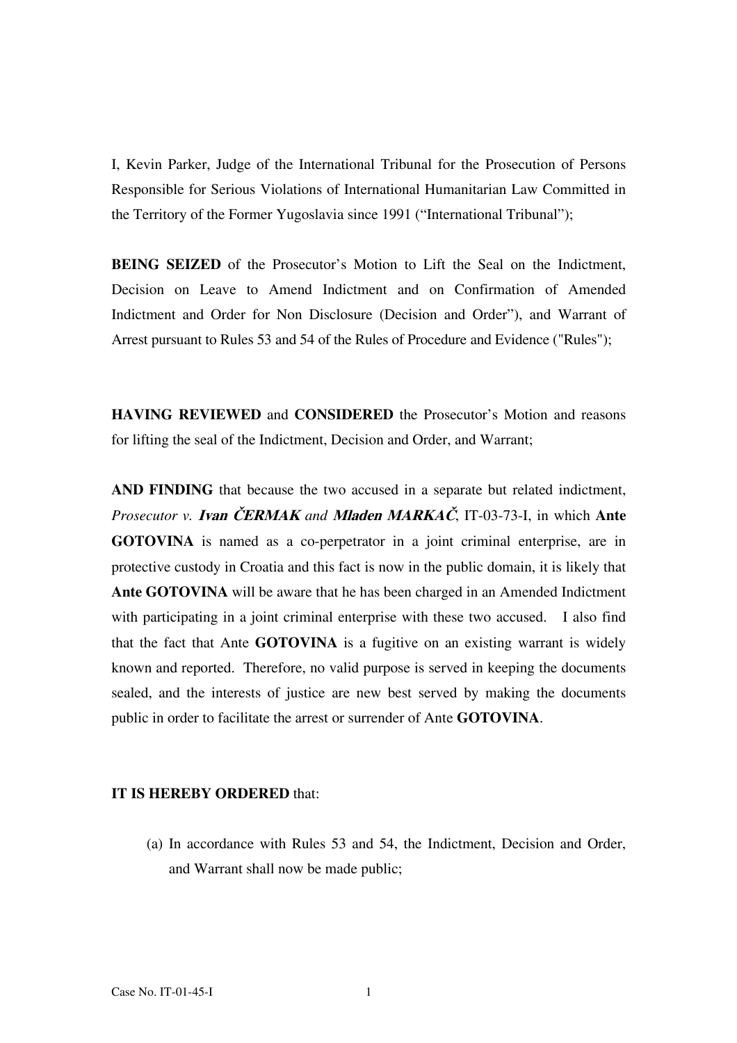I, Kevin Parker, Judge of the International Tribunal for the Prosecution of Persons Responsible for Serious Violations of International Humanitarian Law Committed in the Territory of the Former Yugoslavia since 1991 ("International Tribunal");

**BEING SEIZED** of the Prosecutor's Motion to Lift the Seal on the Indictment, Decision on Leave to Amend Indictment and on Confirmation of Amended Indictment and Order for Non Disclosure (Decision and Order"), and Warrant of Arrest pursuant to Rules 53 and 54 of the Rules of Procedure and Evidence ("Rules");

**HAVING REVIEWED** and **CONSIDERED** the Prosecutor's Motion and reasons for lifting the seal of the Indictment, Decision and Order, and Warrant;

**AND FINDING** that because the two accused in a separate but related indictment, *Prosecutor v. Ivan ČERMAK and Mladen MARKAC, IT-03-73-I, in which Ante* **GOTOVINA** is named as a co-perpetrator in a joint criminal enterprise, are in protective custody in Croatia and this fact is now in the public domain, it is likely that **Ante GOTOVINA** will be aware that he has been charged in an Amended Indictment with participating in a joint criminal enterprise with these two accused. I also find that the fact that Ante **GOTOVINA** is a fugitive on an existing warrant is widely known and reported. Therefore, no valid purpose is served in keeping the documents sealed, and the interests of justice are new best served by making the documents public in order to facilitate the arrest or surrender of Ante **GOTOVINA**.

#### **IT IS HEREBY ORDERED** that:

(a) In accordance with Rules 53 and 54, the Indictment, Decision and Order, and Warrant shall now be made public;